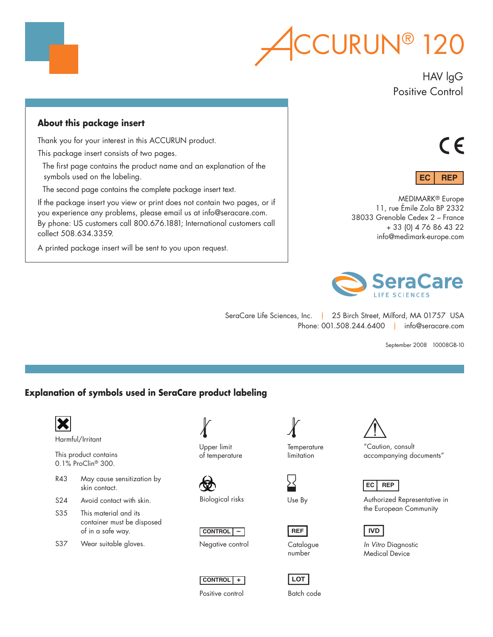

## HAV lgG Positive Control

## **About this package insert**

Thank you for your interest in this ACCURUN product.

This package insert consists of two pages.

The first page contains the product name and an explanation of the symbols used on the labeling.

The second page contains the complete package insert text.

If the package insert you view or print does not contain two pages, or if you experience any problems, please email us at info@seracare.com. By phone: US customers call 800.676.1881; International customers call collect 508.634.3359.

A printed package insert will be sent to you upon request.





MEDIMARK® Europe 11, rue Émile Zola BP 2332 38033 Grenoble Cedex 2 – France + 33 (0) 4 76 86 43 22 info@medimark-europe.com



SeraCare Life Sciences, Inc. | 25 Birch Street, Milford, MA 01757 USA Phone: 001.508.244.6400 | info@seracare.com

September 2008 10008GB-10

## **Explanation of symbols used in SeraCare product labeling**



of in a safe way.

S37 Wear suitable gloves.

Upper limit of temperature

Biological risks







Positive control

**Temperature** limitation

Use By

**REF**

number

**LOT**



"Caution, consult accompanying documents"

## **EC REP**

Authorized Representative in the European Community

## **IVD**

*In Vitro* Diagnostic Medical Device